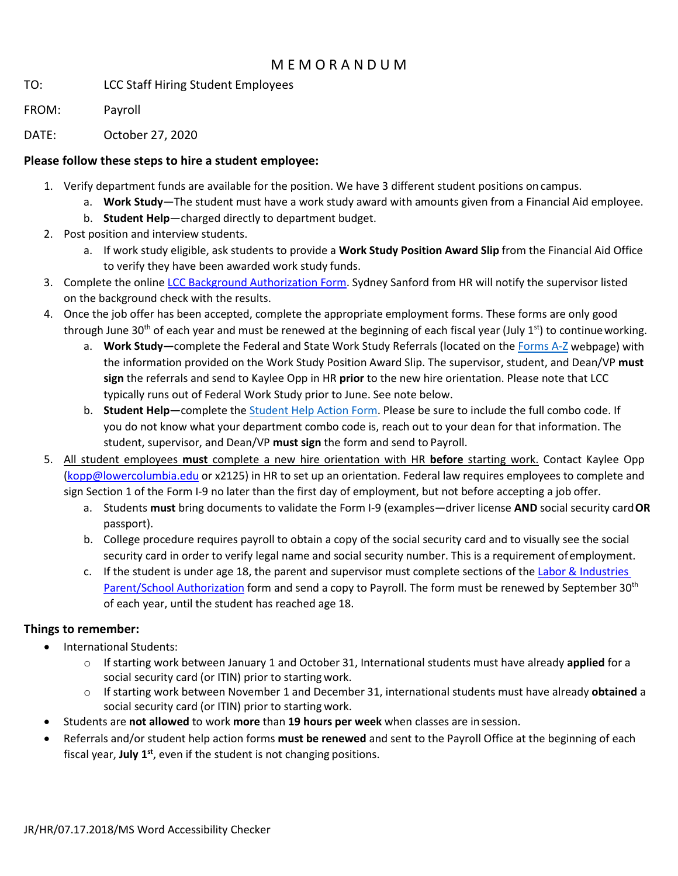## M E M O R A N D U M

TO: LCC Staff Hiring Student Employees

FROM: Payroll

DATE: October 27, 2020

## **Please follow these steps to hire a student employee:**

- 1. Verify department funds are available for the position. We have 3 different student positions on campus.
	- a. **Work Study**—The student must have a work study award with amounts given from a Financial Aid employee.
	- b. **Student Help**—charged directly to department budget.
- 2. Post position and interview students.
	- a. If work study eligible, ask students to provide a **Work Study Position Award Slip** from the Financial Aid Office to verify they have been awarded work study funds.
- 3. Complete the online [LCC Background Authorization Form.](https://forms.lowercolumbia.edu/app/form?id=42) Sydney Sanford from HR will notify the supervisor listed on the background check with the results.
- 4. Once the job offer has been accepted, complete the appropriate employment forms. These forms are only good through June 30<sup>th</sup> of each year and must be renewed at the beginning of each fiscal year (July 1<sup>st</sup>) to continue working.
	- a. **Work Study—**complete the Federal and State Work Study Referrals (located on the [Forms A-Z](http://internal.lowercolumbia.edu/employee-tools/forms/index.php) webpage) with the information provided on the Work Study Position Award Slip. The supervisor, student, and Dean/VP **must sign** the referrals and send to Kaylee Opp in HR **prior** to the new hire orientation. Please note that LCC typically runs out of Federal Work Study prior to June. See note below.
	- b. **Student Help—**complete the [Student Help Action Form.](http://internal.lowercolumbia.edu/departments/human-resources/_assets/documents/StudentHelpActionForm.pdf) Please be sure to include the full combo code. If you do not know what your department combo code is, reach out to your dean for that information. The student, supervisor, and Dean/VP **must sign** the form and send to Payroll.
- 5. All student employees **must** complete a new hire orientation with HR **before** starting work. Contact Kaylee Opp [\(kopp@lowercolumbia.edu](mailto:kopp@lowercolumbia.edu) or x2125) in HR to set up an orientation. Federal law requires employees to complete and sign Section 1 of the Form I-9 no later than the first day of employment, but not before accepting a job offer.
	- a. Students **must** bring documents to validate the Form I-9 (examples—driver license **AND** social security card**OR** passport).
	- b. College procedure requires payroll to obtain a copy of the social security card and to visually see the social security card in order to verify legal name and social security number. This is a requirement ofemployment.
	- c. If the student is under age 18, the parent and supervisor must complete sections of th[e Labor & Industries](https://www.lni.wa.gov/dA/a99738b233/F700-002-000.pdf)  [Parent/School Authorization](https://www.lni.wa.gov/dA/a99738b233/F700-002-000.pdf) form and send a copy to Payroll. The form must be renewed by September 30<sup>th</sup> of each year, until the student has reached age 18.

## **Things to remember:**

- International Students:
	- o If starting work between January 1 and October 31, International students must have already **applied** for a social security card (or ITIN) prior to starting work.
	- o If starting work between November 1 and December 31, international students must have already **obtained** a social security card (or ITIN) prior to starting work.
- Students are **not allowed** to work **more** than **19 hours per week** when classes are in session.
- Referrals and/or student help action forms **must be renewed** and sent to the Payroll Office at the beginning of each fiscal year, **July 1**<sup>st</sup>, even if the student is not changing positions.